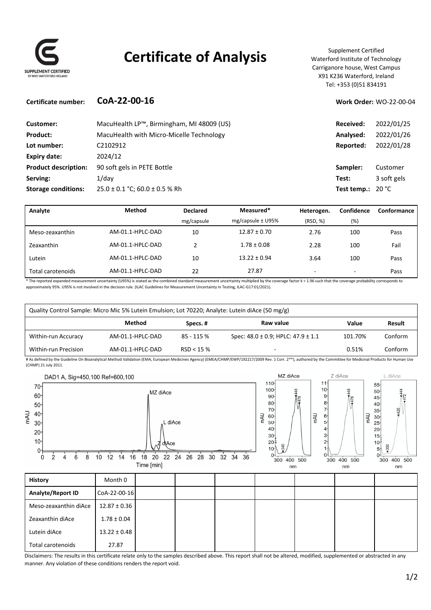

# **Certificate of Analysis** Supplement Certified

Waterford Institute of Technology Carriganore house, West Campus X91 K236 Waterford, Ireland Tel: +353 (0)51 834191

### **Certificate number: CoA‐22‐00‐16 Work Order:** WO‐22‐00‐04

| Customer:                   | MacuHealth LP™, Birmingham, MI 48009 (US) | Received:                  | 2022/01/25  |
|-----------------------------|-------------------------------------------|----------------------------|-------------|
| <b>Product:</b>             | MacuHealth with Micro-Micelle Technology  | Analysed:                  | 2022/01/26  |
| Lot number:                 | C2102912                                  | Reported:                  | 2022/01/28  |
| Expiry date:                | 2024/12                                   |                            |             |
| <b>Product description:</b> | 90 soft gels in PETE Bottle               | Sampler:                   | Customer    |
| Serving:                    | $1$ /day                                  | Test:                      | 3 soft gels |
| <b>Storage conditions:</b>  | $25.0 \pm 0.1$ °C; 60.0 $\pm$ 0.5 % Rh    | Test temp.: $20^{\circ}$ C |             |

| Analyte           | <b>Method</b>    | <b>Declared</b> | Measured*             | Heterogen. | Confidence               | Conformance |
|-------------------|------------------|-----------------|-----------------------|------------|--------------------------|-------------|
|                   |                  | mg/capsule      | mg/capsule $\pm$ U95% | (RSD, %)   | (%)                      |             |
| Meso-zeaxanthin   | AM-01.1-HPLC-DAD | 10              | $12.87 \pm 0.70$      | 2.76       | 100                      | Pass        |
| Zeaxanthin        | AM-01.1-HPLC-DAD | າ               | $1.78 \pm 0.08$       | 2.28       | 100                      | Fail        |
| Lutein            | AM-01.1-HPLC-DAD | 10              | $13.22 \pm 0.94$      | 3.64       | 100                      | Pass        |
| Total carotenoids | AM-01.1-HPLC-DAD | 22              | 27.87                 | -          | $\overline{\phantom{0}}$ | Pass        |

\* The reported expanded measurement uncertainty (U95%) is stated as the combined standard measurement uncertainty multiplied by the coverage factor k = 1.96 such that the coverage probability corresponds to approximately 95%. U95% is not involved in the decision rule. (ILAC Guidelines for Measurement Uncertainty in Testing, ILAC‐G17:01/2021).

| Quality Control Sample: Micro Mic 5% Lutein Emulsion; Lot 70220; Analyte: Lutein diAce (50 mg/g) |                  |            |                                                                                                                                                                                                                |         |         |
|--------------------------------------------------------------------------------------------------|------------------|------------|----------------------------------------------------------------------------------------------------------------------------------------------------------------------------------------------------------------|---------|---------|
|                                                                                                  | Method           | Specs.#    | Raw value                                                                                                                                                                                                      | Value   | Result  |
| Within-run Accuracy                                                                              | AM-01.1-HPLC-DAD | 85 - 115 % | Spec: $48.0 \pm 0.9$ ; HPLC: $47.9 \pm 1.1$                                                                                                                                                                    | 101.70% | Conform |
| Within-run Precision                                                                             | AM-01.1-HPLC-DAD | RSD < 15%  | $\overline{\phantom{a}}$                                                                                                                                                                                       | 0.51%   | Conform |
|                                                                                                  |                  |            | # As defined by the Guideline On Bioanalytical Method Validation (EMA, European Medicines Agency) (EMEA/CHMP/EWP/192217/2009 Rev. 1 Corr. 2**), authored by the Committee for Medicinal Products for Human Use |         |         |

(CHMP) 21 July 2011.



Disclaimers: The results in this certificate relate only to the samples described above. This report shall not be altered, modified, supplemented or abstracted in any manner. Any violation of these conditions renders the report void.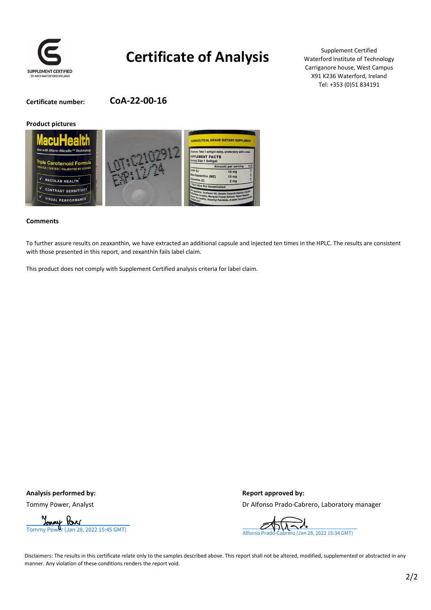

# **Certificate of Analysis**

Supplement Certified Waterford Institute of Technology Carriganore house, West Campus X91 K236 Waterford, Ireland Tel: +353 (0)51 834191

**Certificate number: CoA‐22‐00‐16**

#### **Product pictures**



#### **Comments**

To further assure results on zeaxanthin, we have extracted an additional capsule and injected ten times in the HPLC. The results are consistent with those presented in this report, and zexanthin fails label claim.

This product does not comply with Supplement Certified analysis criteria for label claim.

**Analysis performed by: Report approved by:**

Tommy Power, Analyst **Dr Alfonso Prado**–Cabrero, Laboratory manager



Disclaimers: The results in this certificate relate only to the samples described above. This report shall not be altered, modified, supplemented or abstracted in any manner. Any violation of these conditions renders the report void.